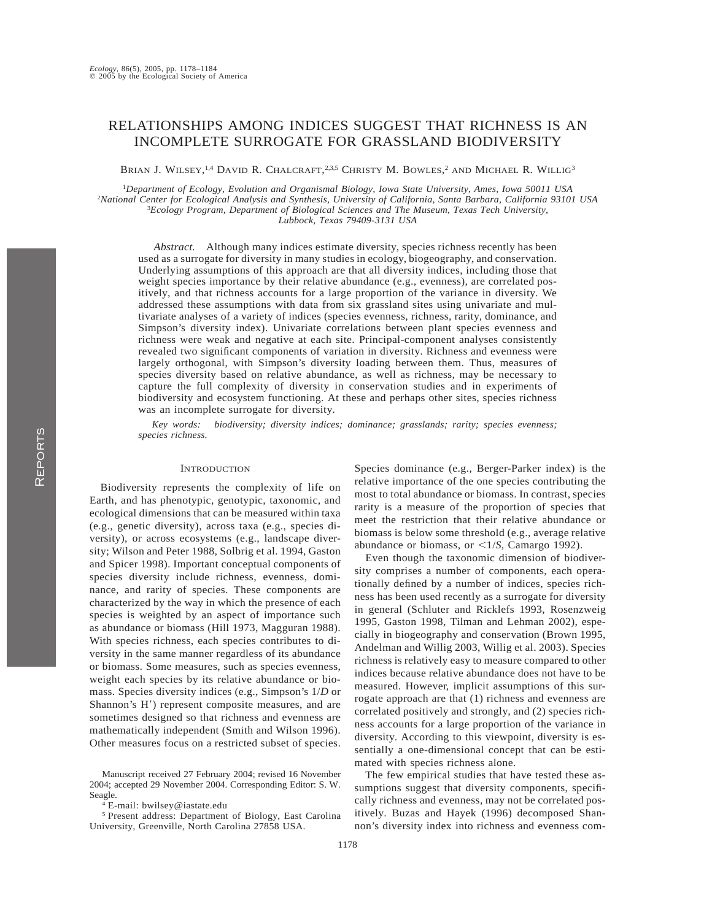# RELATIONSHIPS AMONG INDICES SUGGEST THAT RICHNESS IS AN INCOMPLETE SURROGATE FOR GRASSLAND BIODIVERSITY

Brian J. Wilsey,<sup>1,4</sup> David R. Chalcraft,<sup>2,3,5</sup> Christy M. Bowles,<sup>2</sup> and Michael R. Willig<sup>3</sup>

*Department of Ecology, Evolution and Organismal Biology, Iowa State University, Ames, Iowa 50011 USA National Center for Ecological Analysis and Synthesis, University of California, Santa Barbara, California 93101 USA Ecology Program, Department of Biological Sciences and The Museum, Texas Tech University, Lubbock, Texas 79409-3131 USA*

*Abstract.* Although many indices estimate diversity, species richness recently has been used as a surrogate for diversity in many studies in ecology, biogeography, and conservation. Underlying assumptions of this approach are that all diversity indices, including those that weight species importance by their relative abundance (e.g., evenness), are correlated positively, and that richness accounts for a large proportion of the variance in diversity. We addressed these assumptions with data from six grassland sites using univariate and multivariate analyses of a variety of indices (species evenness, richness, rarity, dominance, and Simpson's diversity index). Univariate correlations between plant species evenness and richness were weak and negative at each site. Principal-component analyses consistently revealed two significant components of variation in diversity. Richness and evenness were largely orthogonal, with Simpson's diversity loading between them. Thus, measures of species diversity based on relative abundance, as well as richness, may be necessary to capture the full complexity of diversity in conservation studies and in experiments of biodiversity and ecosystem functioning. At these and perhaps other sites, species richness was an incomplete surrogate for diversity.

*Key words: biodiversity; diversity indices; dominance; grasslands; rarity; species evenness; species richness.*

## **INTRODUCTION**

Biodiversity represents the complexity of life on Earth, and has phenotypic, genotypic, taxonomic, and ecological dimensions that can be measured within taxa (e.g., genetic diversity), across taxa (e.g., species diversity), or across ecosystems (e.g., landscape diversity; Wilson and Peter 1988, Solbrig et al. 1994, Gaston and Spicer 1998). Important conceptual components of species diversity include richness, evenness, dominance, and rarity of species. These components are characterized by the way in which the presence of each species is weighted by an aspect of importance such as abundance or biomass (Hill 1973, Magguran 1988). With species richness, each species contributes to diversity in the same manner regardless of its abundance or biomass. Some measures, such as species evenness, weight each species by its relative abundance or biomass. Species diversity indices (e.g., Simpson's 1/*D* or Shannon's H') represent composite measures, and are sometimes designed so that richness and evenness are mathematically independent (Smith and Wilson 1996). Other measures focus on a restricted subset of species.

Manuscript received 27 February 2004; revised 16 November 2004; accepted 29 November 2004. Corresponding Editor: S. W. Seagle.

<sup>4</sup> E-mail: bwilsey@iastate.edu

<sup>5</sup> Present address: Department of Biology, East Carolina University, Greenville, North Carolina 27858 USA.

Species dominance (e.g., Berger-Parker index) is the relative importance of the one species contributing the most to total abundance or biomass. In contrast, species rarity is a measure of the proportion of species that meet the restriction that their relative abundance or biomass is below some threshold (e.g., average relative abundance or biomass, or <1/*S*, Camargo 1992).

Even though the taxonomic dimension of biodiversity comprises a number of components, each operationally defined by a number of indices, species richness has been used recently as a surrogate for diversity in general (Schluter and Ricklefs 1993, Rosenzweig 1995, Gaston 1998, Tilman and Lehman 2002), especially in biogeography and conservation (Brown 1995, Andelman and Willig 2003, Willig et al. 2003). Species richness is relatively easy to measure compared to other indices because relative abundance does not have to be measured. However, implicit assumptions of this surrogate approach are that (1) richness and evenness are correlated positively and strongly, and (2) species richness accounts for a large proportion of the variance in diversity. According to this viewpoint, diversity is essentially a one-dimensional concept that can be estimated with species richness alone.

The few empirical studies that have tested these assumptions suggest that diversity components, specifically richness and evenness, may not be correlated positively. Buzas and Hayek (1996) decomposed Shannon's diversity index into richness and evenness com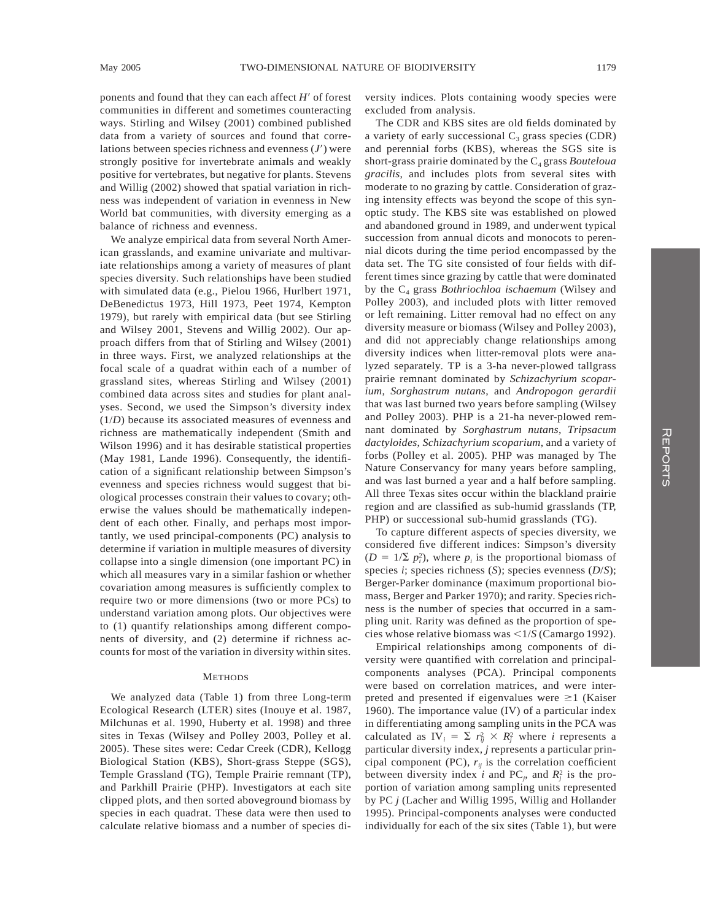ponents and found that they can each affect *H*<sup> $\prime$ </sup> of forest communities in different and sometimes counteracting ways. Stirling and Wilsey (2001) combined published data from a variety of sources and found that correlations between species richness and evenness  $(J')$  were strongly positive for invertebrate animals and weakly positive for vertebrates, but negative for plants. Stevens and Willig (2002) showed that spatial variation in richness was independent of variation in evenness in New World bat communities, with diversity emerging as a balance of richness and evenness.

We analyze empirical data from several North American grasslands, and examine univariate and multivariate relationships among a variety of measures of plant species diversity. Such relationships have been studied with simulated data (e.g., Pielou 1966, Hurlbert 1971, DeBenedictus 1973, Hill 1973, Peet 1974, Kempton 1979), but rarely with empirical data (but see Stirling and Wilsey 2001, Stevens and Willig 2002). Our approach differs from that of Stirling and Wilsey (2001) in three ways. First, we analyzed relationships at the focal scale of a quadrat within each of a number of grassland sites, whereas Stirling and Wilsey (2001) combined data across sites and studies for plant analyses. Second, we used the Simpson's diversity index (1/*D*) because its associated measures of evenness and richness are mathematically independent (Smith and Wilson 1996) and it has desirable statistical properties (May 1981, Lande 1996). Consequently, the identification of a significant relationship between Simpson's evenness and species richness would suggest that biological processes constrain their values to covary; otherwise the values should be mathematically independent of each other. Finally, and perhaps most importantly, we used principal-components (PC) analysis to determine if variation in multiple measures of diversity collapse into a single dimension (one important PC) in which all measures vary in a similar fashion or whether covariation among measures is sufficiently complex to require two or more dimensions (two or more PCs) to understand variation among plots. Our objectives were to (1) quantify relationships among different components of diversity, and (2) determine if richness accounts for most of the variation in diversity within sites.

## **METHODS**

We analyzed data (Table 1) from three Long-term Ecological Research (LTER) sites (Inouye et al. 1987, Milchunas et al. 1990, Huberty et al. 1998) and three sites in Texas (Wilsey and Polley 2003, Polley et al. 2005). These sites were: Cedar Creek (CDR), Kellogg Biological Station (KBS), Short-grass Steppe (SGS), Temple Grassland (TG), Temple Prairie remnant (TP), and Parkhill Prairie (PHP). Investigators at each site clipped plots, and then sorted aboveground biomass by species in each quadrat. These data were then used to calculate relative biomass and a number of species diversity indices. Plots containing woody species were excluded from analysis.

The CDR and KBS sites are old fields dominated by a variety of early successional  $C_3$  grass species (CDR) and perennial forbs (KBS), whereas the SGS site is short-grass prairie dominated by the C<sub>4</sub> grass *Bouteloua gracilis*, and includes plots from several sites with moderate to no grazing by cattle. Consideration of grazing intensity effects was beyond the scope of this synoptic study. The KBS site was established on plowed and abandoned ground in 1989, and underwent typical succession from annual dicots and monocots to perennial dicots during the time period encompassed by the data set. The TG site consisted of four fields with different times since grazing by cattle that were dominated by the C4 grass *Bothriochloa ischaemum* (Wilsey and Polley 2003), and included plots with litter removed or left remaining. Litter removal had no effect on any diversity measure or biomass (Wilsey and Polley 2003), and did not appreciably change relationships among diversity indices when litter-removal plots were analyzed separately. TP is a 3-ha never-plowed tallgrass prairie remnant dominated by *Schizachyrium scoparium*, *Sorghastrum nutans*, and *Andropogon gerardii* that was last burned two years before sampling (Wilsey and Polley 2003). PHP is a 21-ha never-plowed remnant dominated by *Sorghastrum nutans*, *Tripsacum dactyloides*, *Schizachyrium scoparium*, and a variety of forbs (Polley et al. 2005). PHP was managed by The Nature Conservancy for many years before sampling, and was last burned a year and a half before sampling. All three Texas sites occur within the blackland prairie region and are classified as sub-humid grasslands (TP, PHP) or successional sub-humid grasslands (TG).

To capture different aspects of species diversity, we considered five different indices: Simpson's diversity  $(D = 1/\sum p_i^2)$ , where *p<sub>i</sub>* is the proportional biomass of species *i*; species richness (*S*); species evenness (*D*/*S*); Berger-Parker dominance (maximum proportional biomass, Berger and Parker 1970); and rarity. Species richness is the number of species that occurred in a sampling unit. Rarity was defined as the proportion of species whose relative biomass was  $\leq 1/S$  (Camargo 1992).

Empirical relationships among components of diversity were quantified with correlation and principalcomponents analyses (PCA). Principal components were based on correlation matrices, and were interpreted and presented if eigenvalues were  $\geq 1$  (Kaiser 1960). The importance value (IV) of a particular index in differentiating among sampling units in the PCA was calculated as  $IV_i = \sum_i r_{ij}^2 \times R_i^2$  where *i* represents a particular diversity index, *j* represents a particular principal component (PC),  $r_{ii}$  is the correlation coefficient between diversity index *i* and PC<sub>*j*</sub>, and  $R_j^2$  is the proportion of variation among sampling units represented by PC *j* (Lacher and Willig 1995, Willig and Hollander 1995). Principal-components analyses were conducted individually for each of the six sites (Table 1), but were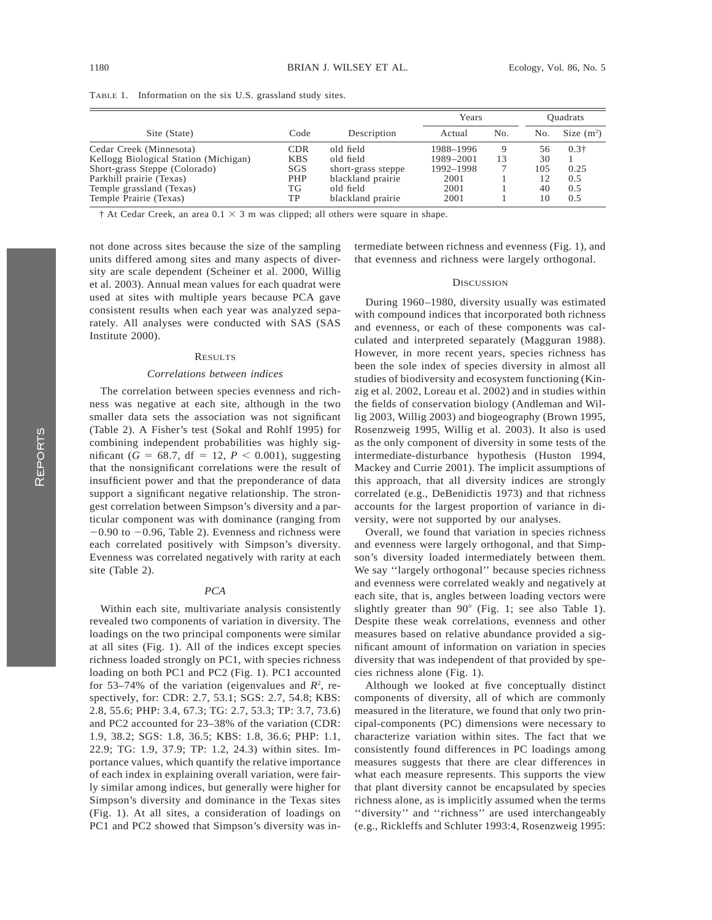|  | TABLE 1. Information on the six U.S. grassland study sites. |  |  |  |  |  |  |  |
|--|-------------------------------------------------------------|--|--|--|--|--|--|--|
|--|-------------------------------------------------------------|--|--|--|--|--|--|--|

|                                       |            |                    | Years     |     | Ouadrats |              |
|---------------------------------------|------------|--------------------|-----------|-----|----------|--------------|
| Site (State)                          | Code       | Description        | Actual    | No. | No.      | Size $(m^2)$ |
| Cedar Creek (Minnesota)               | <b>CDR</b> | old field          | 1988-1996 | 9   | 56       | $0.3\dagger$ |
| Kellogg Biological Station (Michigan) | <b>KBS</b> | old field          | 1989-2001 | 13  | 30       |              |
| Short-grass Steppe (Colorado)         | SGS        | short-grass steppe | 1992-1998 |     | 105      | 0.25         |
| Parkhill prairie (Texas)              | <b>PHP</b> | blackland prairie  | 2001      |     | 12       | 0.5          |
| Temple grassland (Texas)              | TG         | old field          | 2001      |     | 40       | 0.5          |
| Temple Prairie (Texas)                | TP         | blackland prairie  | 2001      |     | 10       | 0.5          |

 $\dagger$  At Cedar Creek, an area 0.1  $\times$  3 m was clipped; all others were square in shape.

not done across sites because the size of the sampling units differed among sites and many aspects of diversity are scale dependent (Scheiner et al. 2000, Willig et al. 2003). Annual mean values for each quadrat were used at sites with multiple years because PCA gave consistent results when each year was analyzed separately. All analyses were conducted with SAS (SAS Institute 2000).

# **RESULTS**

## *Correlations between indices*

The correlation between species evenness and richness was negative at each site, although in the two smaller data sets the association was not significant (Table 2). A Fisher's test (Sokal and Rohlf 1995) for combining independent probabilities was highly significant (*G* = 68.7, df = 12, *P* < 0.001), suggesting that the nonsignificant correlations were the result of insufficient power and that the preponderance of data support a significant negative relationship. The strongest correlation between Simpson's diversity and a particular component was with dominance (ranging from  $-0.90$  to  $-0.96$ , Table 2). Evenness and richness were each correlated positively with Simpson's diversity. Evenness was correlated negatively with rarity at each site (Table 2).

## *PCA*

Within each site, multivariate analysis consistently revealed two components of variation in diversity. The loadings on the two principal components were similar at all sites (Fig. 1). All of the indices except species richness loaded strongly on PC1, with species richness loading on both PC1 and PC2 (Fig. 1). PC1 accounted for 53–74% of the variation (eigenvalues and  $R^2$ , respectively, for: CDR: 2.7, 53.1; SGS: 2.7, 54.8; KBS: 2.8, 55.6; PHP: 3.4, 67.3; TG: 2.7, 53.3; TP: 3.7, 73.6) and PC2 accounted for 23–38% of the variation (CDR: 1.9, 38.2; SGS: 1.8, 36.5; KBS: 1.8, 36.6; PHP: 1.1, 22.9; TG: 1.9, 37.9; TP: 1.2, 24.3) within sites. Importance values, which quantify the relative importance of each index in explaining overall variation, were fairly similar among indices, but generally were higher for Simpson's diversity and dominance in the Texas sites (Fig. 1). At all sites, a consideration of loadings on PC1 and PC2 showed that Simpson's diversity was intermediate between richness and evenness (Fig. 1), and that evenness and richness were largely orthogonal.

## **DISCUSSION**

During 1960–1980, diversity usually was estimated with compound indices that incorporated both richness and evenness, or each of these components was calculated and interpreted separately (Magguran 1988). However, in more recent years, species richness has been the sole index of species diversity in almost all studies of biodiversity and ecosystem functioning (Kinzig et al. 2002, Loreau et al. 2002) and in studies within the fields of conservation biology (Andleman and Willig 2003, Willig 2003) and biogeography (Brown 1995, Rosenzweig 1995, Willig et al. 2003). It also is used as the only component of diversity in some tests of the intermediate-disturbance hypothesis (Huston 1994, Mackey and Currie 2001). The implicit assumptions of this approach, that all diversity indices are strongly correlated (e.g., DeBenidictis 1973) and that richness accounts for the largest proportion of variance in diversity, were not supported by our analyses.

Overall, we found that variation in species richness and evenness were largely orthogonal, and that Simpson's diversity loaded intermediately between them. We say ''largely orthogonal'' because species richness and evenness were correlated weakly and negatively at each site, that is, angles between loading vectors were slightly greater than  $90^{\circ}$  (Fig. 1; see also Table 1). Despite these weak correlations, evenness and other measures based on relative abundance provided a significant amount of information on variation in species diversity that was independent of that provided by species richness alone (Fig. 1).

Although we looked at five conceptually distinct components of diversity, all of which are commonly measured in the literature, we found that only two principal-components (PC) dimensions were necessary to characterize variation within sites. The fact that we consistently found differences in PC loadings among measures suggests that there are clear differences in what each measure represents. This supports the view that plant diversity cannot be encapsulated by species richness alone, as is implicitly assumed when the terms ''diversity'' and ''richness'' are used interchangeably (e.g., Rickleffs and Schluter 1993:4, Rosenzweig 1995: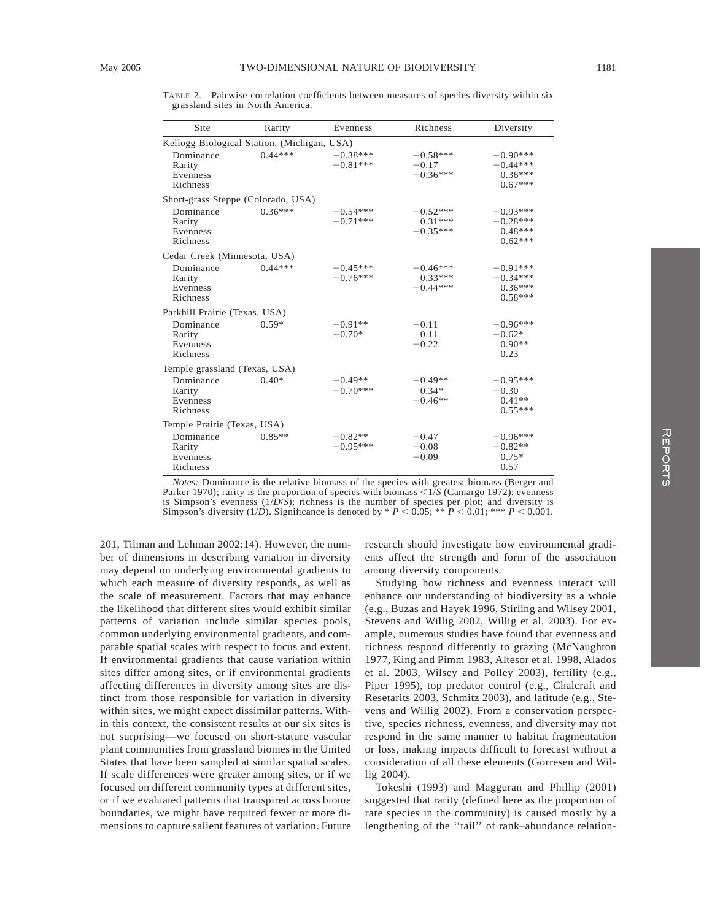TABLE 2. Pairwise correlation coefficients between measures of species diversity within six grassland sites in North America.

| Site                                        | Rarity    | Evenness                 | Richness                              | Diversity                                          |  |  |  |  |
|---------------------------------------------|-----------|--------------------------|---------------------------------------|----------------------------------------------------|--|--|--|--|
| Kellogg Biological Station, (Michigan, USA) |           |                          |                                       |                                                    |  |  |  |  |
| Dominance<br>Rarity<br>Evenness<br>Richness | $0.44***$ | $-0.38***$<br>$-0.81***$ | $-0.58***$<br>$-0.17$<br>$-0.36***$   | $-0.90***$<br>$-0.44***$<br>$0.36***$<br>$0.67***$ |  |  |  |  |
| Short-grass Steppe (Colorado, USA)          |           |                          |                                       |                                                    |  |  |  |  |
| Dominance<br>Rarity<br>Evenness<br>Richness | $0.36***$ | $-0.54***$<br>$-0.71***$ | $-0.52***$<br>$0.31***$<br>$-0.35***$ | $-0.93***$<br>$-0.28***$<br>$0.48***$<br>$0.62***$ |  |  |  |  |
| Cedar Creek (Minnesota, USA)                |           |                          |                                       |                                                    |  |  |  |  |
| Dominance<br>Rarity<br>Evenness<br>Richness | $0.44***$ | $-0.45***$<br>$-0.76***$ | $-0.46***$<br>$0.33***$<br>$-0.44***$ | $-0.91***$<br>$-0.34***$<br>$0.36***$<br>$0.58***$ |  |  |  |  |
| Parkhill Prairie (Texas, USA)               |           |                          |                                       |                                                    |  |  |  |  |
| Dominance<br>Rarity<br>Evenness<br>Richness | $0.59*$   | $-0.91**$<br>$-0.70*$    | $-0.11$<br>0.11<br>$-0.22$            | $-0.96***$<br>$-0.62*$<br>$0.90**$<br>0.23         |  |  |  |  |
| Temple grassland (Texas, USA)               |           |                          |                                       |                                                    |  |  |  |  |
| Dominance<br>Rarity<br>Evenness<br>Richness | $0.40*$   | $-0.49**$<br>$-0.70***$  | $-0.49**$<br>$0.34*$<br>$-0.46**$     | $-0.95***$<br>$-0.30$<br>$0.41**$<br>$0.55***$     |  |  |  |  |
| Temple Prairie (Texas, USA)                 |           |                          |                                       |                                                    |  |  |  |  |
| Dominance<br>Rarity<br>Evenness<br>Richness | $0.85**$  | $-0.82**$<br>$-0.95***$  | $-0.47$<br>$-0.08$<br>$-0.09$         | $-0.96***$<br>$-0.82**$<br>$0.75*$<br>0.57         |  |  |  |  |

*Notes:* Dominance is the relative biomass of the species with greatest biomass (Berger and Parker 1970); rarity is the proportion of species with biomass <1/*S* (Camargo 1972); evenness is Simpson's evenness (1/*D*/*S*); richness is the number of species per plot; and diversity is Simpson's diversity (1/*D*). Significance is denoted by  $* P < 0.05; ** P < 0.01; *** P < 0.001$ .

201, Tilman and Lehman 2002:14). However, the number of dimensions in describing variation in diversity may depend on underlying environmental gradients to which each measure of diversity responds, as well as the scale of measurement. Factors that may enhance the likelihood that different sites would exhibit similar patterns of variation include similar species pools, common underlying environmental gradients, and comparable spatial scales with respect to focus and extent. If environmental gradients that cause variation within sites differ among sites, or if environmental gradients affecting differences in diversity among sites are distinct from those responsible for variation in diversity within sites, we might expect dissimilar patterns. Within this context, the consistent results at our six sites is not surprising—we focused on short-stature vascular plant communities from grassland biomes in the United States that have been sampled at similar spatial scales. If scale differences were greater among sites, or if we focused on different community types at different sites, or if we evaluated patterns that transpired across biome boundaries, we might have required fewer or more dimensions to capture salient features of variation. Future

research should investigate how environmental gradients affect the strength and form of the association among diversity components.

Studying how richness and evenness interact will enhance our understanding of biodiversity as a whole (e.g., Buzas and Hayek 1996, Stirling and Wilsey 2001, Stevens and Willig 2002, Willig et al. 2003). For example, numerous studies have found that evenness and richness respond differently to grazing (McNaughton 1977, King and Pimm 1983, Altesor et al. 1998, Alados et al. 2003, Wilsey and Polley 2003), fertility (e.g., Piper 1995), top predator control (e.g., Chalcraft and Resetarits 2003, Schmitz 2003), and latitude (e.g., Stevens and Willig 2002). From a conservation perspective, species richness, evenness, and diversity may not respond in the same manner to habitat fragmentation or loss, making impacts difficult to forecast without a consideration of all these elements (Gorresen and Willig 2004).

Tokeshi (1993) and Magguran and Phillip (2001) suggested that rarity (defined here as the proportion of rare species in the community) is caused mostly by a lengthening of the ''tail'' of rank–abundance relation-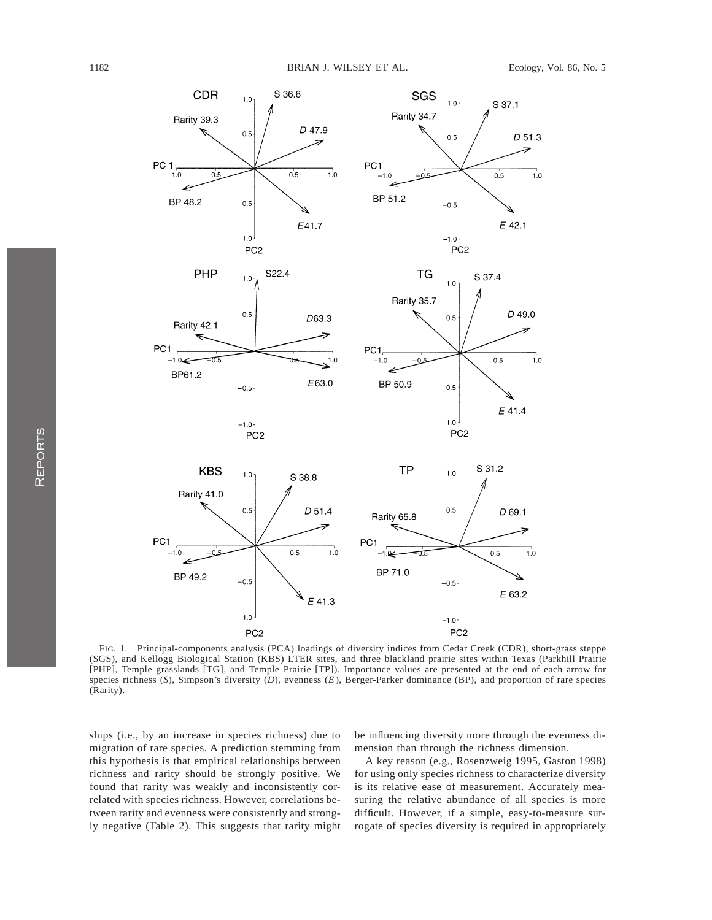

FIG. 1. Principal-components analysis (PCA) loadings of diversity indices from Cedar Creek (CDR), short-grass steppe (SGS), and Kellogg Biological Station (KBS) LTER sites, and three blackland prairie sites within Texas (Parkhill Prairie [PHP], Temple grasslands [TG], and Temple Prairie [TP]). Importance values are presented at the end of each arrow for species richness (*S*), Simpson's diversity (*D*), evenness (*E*), Berger-Parker dominance (BP), and proportion of rare species (Rarity).

ships (i.e., by an increase in species richness) due to migration of rare species. A prediction stemming from this hypothesis is that empirical relationships between richness and rarity should be strongly positive. We found that rarity was weakly and inconsistently correlated with species richness. However, correlations between rarity and evenness were consistently and strongly negative (Table 2). This suggests that rarity might be influencing diversity more through the evenness dimension than through the richness dimension.

A key reason (e.g., Rosenzweig 1995, Gaston 1998) for using only species richness to characterize diversity is its relative ease of measurement. Accurately measuring the relative abundance of all species is more difficult. However, if a simple, easy-to-measure surrogate of species diversity is required in appropriately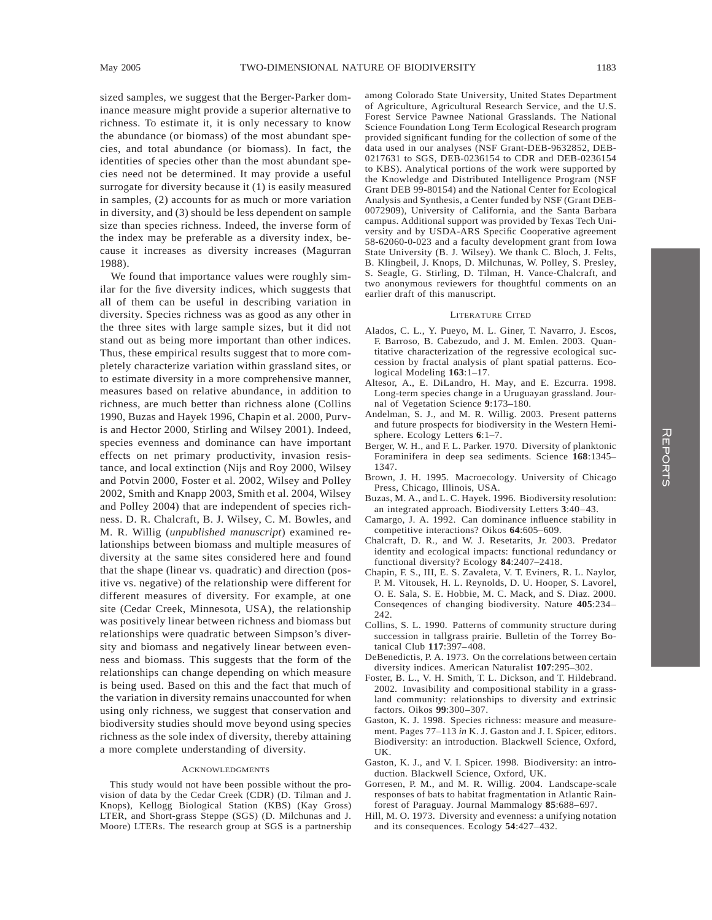sized samples, we suggest that the Berger-Parker dominance measure might provide a superior alternative to richness. To estimate it, it is only necessary to know the abundance (or biomass) of the most abundant species, and total abundance (or biomass). In fact, the identities of species other than the most abundant species need not be determined. It may provide a useful surrogate for diversity because it (1) is easily measured in samples, (2) accounts for as much or more variation in diversity, and (3) should be less dependent on sample size than species richness. Indeed, the inverse form of the index may be preferable as a diversity index, because it increases as diversity increases (Magurran 1988).

We found that importance values were roughly similar for the five diversity indices, which suggests that all of them can be useful in describing variation in diversity. Species richness was as good as any other in the three sites with large sample sizes, but it did not stand out as being more important than other indices. Thus, these empirical results suggest that to more completely characterize variation within grassland sites, or to estimate diversity in a more comprehensive manner, measures based on relative abundance, in addition to richness, are much better than richness alone (Collins 1990, Buzas and Hayek 1996, Chapin et al. 2000, Purvis and Hector 2000, Stirling and Wilsey 2001). Indeed, species evenness and dominance can have important effects on net primary productivity, invasion resistance, and local extinction (Nijs and Roy 2000, Wilsey and Potvin 2000, Foster et al. 2002, Wilsey and Polley 2002, Smith and Knapp 2003, Smith et al. 2004, Wilsey and Polley 2004) that are independent of species richness. D. R. Chalcraft, B. J. Wilsey, C. M. Bowles, and M. R. Willig (*unpublished manuscript*) examined relationships between biomass and multiple measures of diversity at the same sites considered here and found that the shape (linear vs. quadratic) and direction (positive vs. negative) of the relationship were different for different measures of diversity. For example, at one site (Cedar Creek, Minnesota, USA), the relationship was positively linear between richness and biomass but relationships were quadratic between Simpson's diversity and biomass and negatively linear between evenness and biomass. This suggests that the form of the relationships can change depending on which measure is being used. Based on this and the fact that much of the variation in diversity remains unaccounted for when using only richness, we suggest that conservation and biodiversity studies should move beyond using species richness as the sole index of diversity, thereby attaining a more complete understanding of diversity.

#### ACKNOWLEDGMENTS

This study would not have been possible without the provision of data by the Cedar Creek (CDR) (D. Tilman and J. Knops), Kellogg Biological Station (KBS) (Kay Gross) LTER, and Short-grass Steppe (SGS) (D. Milchunas and J. Moore) LTERs. The research group at SGS is a partnership among Colorado State University, United States Department of Agriculture, Agricultural Research Service, and the U.S. Forest Service Pawnee National Grasslands. The National Science Foundation Long Term Ecological Research program provided significant funding for the collection of some of the data used in our analyses (NSF Grant-DEB-9632852, DEB-0217631 to SGS, DEB-0236154 to CDR and DEB-0236154 to KBS). Analytical portions of the work were supported by the Knowledge and Distributed Intelligence Program (NSF Grant DEB 99-80154) and the National Center for Ecological Analysis and Synthesis, a Center funded by NSF (Grant DEB-0072909), University of California, and the Santa Barbara campus. Additional support was provided by Texas Tech University and by USDA-ARS Specific Cooperative agreement 58-62060-0-023 and a faculty development grant from Iowa State University (B. J. Wilsey). We thank C. Bloch, J. Felts, B. Klingbeil, J. Knops, D. Milchunas, W. Polley, S. Presley, S. Seagle, G. Stirling, D. Tilman, H. Vance-Chalcraft, and two anonymous reviewers for thoughtful comments on an earlier draft of this manuscript.

#### LITERATURE CITED

- Alados, C. L., Y. Pueyo, M. L. Giner, T. Navarro, J. Escos, F. Barroso, B. Cabezudo, and J. M. Emlen. 2003. Quantitative characterization of the regressive ecological succession by fractal analysis of plant spatial patterns. Ecological Modeling **163**:1–17.
- Altesor, A., E. DiLandro, H. May, and E. Ezcurra. 1998. Long-term species change in a Uruguayan grassland. Journal of Vegetation Science **9**:173–180.
- Andelman, S. J., and M. R. Willig. 2003. Present patterns and future prospects for biodiversity in the Western Hemisphere. Ecology Letters **6**:1–7.
- Berger, W. H., and F. L. Parker. 1970. Diversity of planktonic Foraminifera in deep sea sediments. Science **168**:1345– 1347.
- Brown, J. H. 1995. Macroecology. University of Chicago Press, Chicago, Illinois, USA.
- Buzas, M. A., and L. C. Hayek. 1996. Biodiversity resolution: an integrated approach. Biodiversity Letters **3**:40–43.
- Camargo, J. A. 1992. Can dominance influence stability in competitive interactions? Oikos **64**:605–609.
- Chalcraft, D. R., and W. J. Resetarits, Jr. 2003. Predator identity and ecological impacts: functional redundancy or functional diversity? Ecology **84**:2407–2418.
- Chapin, F. S., III, E. S. Zavaleta, V. T. Eviners, R. L. Naylor, P. M. Vitousek, H. L. Reynolds, D. U. Hooper, S. Lavorel, O. E. Sala, S. E. Hobbie, M. C. Mack, and S. Diaz. 2000. Conseqences of changing biodiversity. Nature **405**:234–  $242.$
- Collins, S. L. 1990. Patterns of community structure during succession in tallgrass prairie. Bulletin of the Torrey Botanical Club **117**:397–408.
- DeBenedictis, P. A. 1973. On the correlations between certain diversity indices. American Naturalist **107**:295–302.
- Foster, B. L., V. H. Smith, T. L. Dickson, and T. Hildebrand. 2002. Invasibility and compositional stability in a grassland community: relationships to diversity and extrinsic factors. Oikos **99**:300–307.
- Gaston, K. J. 1998. Species richness: measure and measurement. Pages 77–113 *in* K. J. Gaston and J. I. Spicer, editors. Biodiversity: an introduction. Blackwell Science, Oxford, UK.
- Gaston, K. J., and V. I. Spicer. 1998. Biodiversity: an introduction. Blackwell Science, Oxford, UK.
- Gorresen, P. M., and M. R. Willig. 2004. Landscape-scale responses of bats to habitat fragmentation in Atlantic Rainforest of Paraguay. Journal Mammalogy **85**:688–697.
- Hill, M. O. 1973. Diversity and evenness: a unifying notation and its consequences. Ecology **54**:427–432.